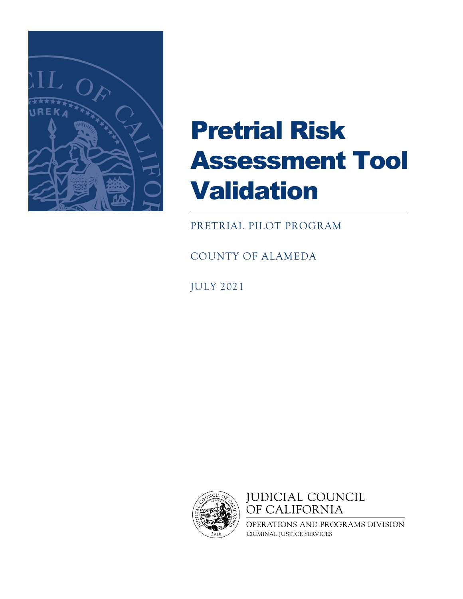

# Pretrial Risk Assessment Tool Validation

PRETRIAL PILOT PROGRAM

COUNTY OF ALAMEDA

JULY 2021



**JUDICIAL COUNCIL** OF CALIFORNIA

OPERATIONS AND PROGRAMS DIVISION CRIMINAL JUSTICE SERVICES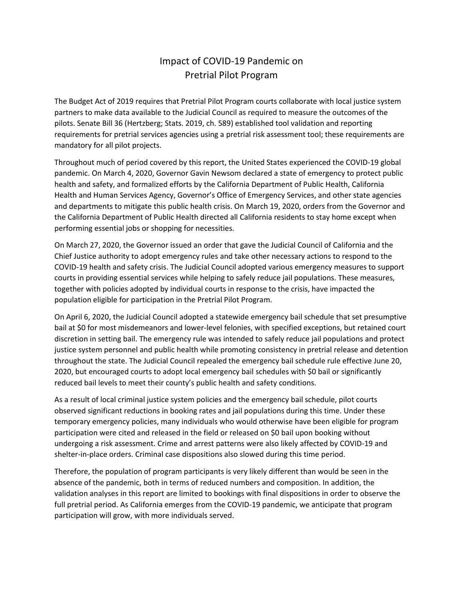## Impact of COVID-19 Pandemic on Pretrial Pilot Program

The Budget Act of 2019 requires that Pretrial Pilot Program courts collaborate with local justice system partners to make data available to the Judicial Council as required to measure the outcomes of the pilots. Senate Bill 36 (Hertzberg; Stats. 2019, ch. 589) established tool validation and reporting requirements for pretrial services agencies using a pretrial risk assessment tool; these requirements are mandatory for all pilot projects.

Throughout much of period covered by this report, the United States experienced the COVID-19 global pandemic. On March 4, 2020, Governor Gavin Newsom declared a state of emergency to protect public health and safety, and formalized efforts by the California Department of Public Health, California Health and Human Services Agency, Governor's Office of Emergency Services, and other state agencies and departments to mitigate this public health crisis. On March 19, 2020, orders from the Governor and the California Department of Public Health directed all California residents to stay home except when performing essential jobs or shopping for necessities.

On March 27, 2020, the Governor issued an order that gave the Judicial Council of California and the Chief Justice authority to adopt emergency rules and take other necessary actions to respond to the COVID-19 health and safety crisis. The Judicial Council adopted various emergency measures to support courts in providing essential services while helping to safely reduce jail populations. These measures, together with policies adopted by individual courts in response to the crisis, have impacted the population eligible for participation in the Pretrial Pilot Program.

On April 6, 2020, the Judicial Council adopted a statewide emergency bail schedule that set presumptive bail at \$0 for most misdemeanors and lower-level felonies, with specified exceptions, but retained court discretion in setting bail. The emergency rule was intended to safely reduce jail populations and protect justice system personnel and public health while promoting consistency in pretrial release and detention throughout the state. The Judicial Council repealed the emergency bail schedule rule effective June 20, 2020, but encouraged courts to adopt local emergency bail schedules with \$0 bail or significantly reduced bail levels to meet their county's public health and safety conditions.

As a result of local criminal justice system policies and the emergency bail schedule, pilot courts observed significant reductions in booking rates and jail populations during this time. Under these temporary emergency policies, many individuals who would otherwise have been eligible for program participation were cited and released in the field or released on \$0 bail upon booking without undergoing a risk assessment. Crime and arrest patterns were also likely affected by COVID-19 and shelter-in-place orders. Criminal case dispositions also slowed during this time period.

Therefore, the population of program participants is very likely different than would be seen in the absence of the pandemic, both in terms of reduced numbers and composition. In addition, the validation analyses in this report are limited to bookings with final dispositions in order to observe the full pretrial period. As California emerges from the COVID-19 pandemic, we anticipate that program participation will grow, with more individuals served.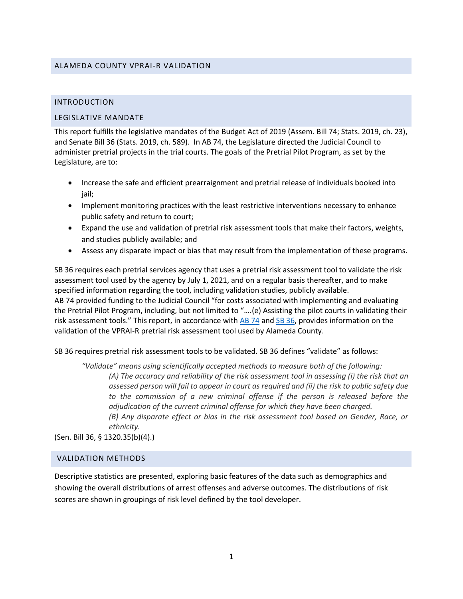#### ALAMEDA COUNTY VPRAI-R VALIDATION

#### INTRODUCTION

#### LEGISLATIVE MANDATE

This report fulfills the legislative mandates of the Budget Act of 2019 (Assem. Bill 74; Stats. 2019, ch. 23), and Senate Bill 36 (Stats. 2019, ch. 589). In AB 74, the Legislature directed the Judicial Council to administer pretrial projects in the trial courts. The goals of the Pretrial Pilot Program, as set by the Legislature, are to:

- Increase the safe and efficient prearraignment and pretrial release of individuals booked into jail;
- Implement monitoring practices with the least restrictive interventions necessary to enhance public safety and return to court;
- Expand the use and validation of pretrial risk assessment tools that make their factors, weights, and studies publicly available; and
- Assess any disparate impact or bias that may result from the implementation of these programs.

SB 36 requires each pretrial services agency that uses a pretrial risk assessment tool to validate the risk assessment tool used by the agency by July 1, 2021, and on a regular basis thereafter, and to make specified information regarding the tool, including validation studies, publicly available. AB 74 provided funding to the Judicial Council "for costs associated with implementing and evaluating the Pretrial Pilot Program, including, but not limited to "….(e) Assisting the pilot courts in validating their risk assessment tools." This report, in accordance with [AB 74](https://leginfo.legislature.ca.gov/faces/billTextClient.xhtml?bill_id=201920200AB74) and [SB 36,](https://leginfo.legislature.ca.gov/faces/billTextClient.xhtml?bill_id=201920200SB36) provides information on the validation of the VPRAI-R pretrial risk assessment tool used by Alameda County.

SB 36 requires pretrial risk assessment tools to be validated. SB 36 defines "validate" as follows:

*"Validate" means using scientifically accepted methods to measure both of the following: (A) The accuracy and reliability of the risk assessment tool in assessing (i) the risk that an assessed person will fail to appear in court as required and (ii) the risk to public safety due*  to the commission of a new criminal offense if the person is released before the *adjudication of the current criminal offense for which they have been charged. (B) Any disparate effect or bias in the risk assessment tool based on Gender, Race, or ethnicity.*

(Sen. Bill 36, § 1320.35(b)(4).)

#### VALIDATION METHODS

Descriptive statistics are presented, exploring basic features of the data such as demographics and showing the overall distributions of arrest offenses and adverse outcomes. The distributions of risk scores are shown in groupings of risk level defined by the tool developer.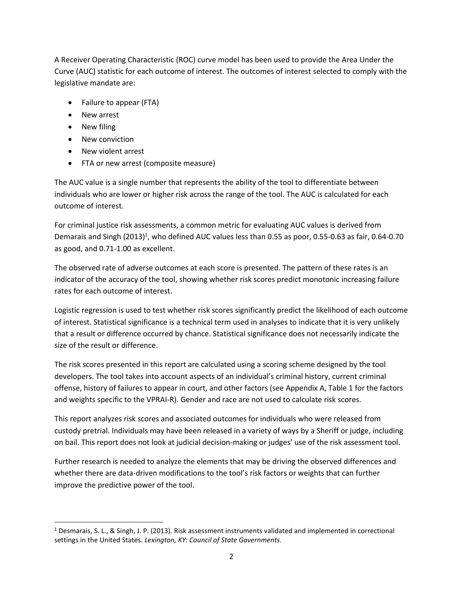A Receiver Operating Characteristic (ROC) curve model has been used to provide the Area Under the Curve (AUC) statistic for each outcome of interest. The outcomes of interest selected to comply with the legislative mandate are:

- Failure to appear (FTA)
- New arrest
- New filing
- New conviction
- New violent arrest
- FTA or new arrest (composite measure)

The AUC value is a single number that represents the ability of the tool to differentiate between individuals who are lower or higher risk across the range of the tool. The AUC is calculated for each outcome of interest.

For criminal justice risk assessments, a common metric for evaluating AUC values is derived from Demarais and Singh  $(2013)^1$ , who defined AUC values less than 0.55 as poor, 0.55-0.63 as fair, 0.64-0.70 as good, and 0.71-1.00 as excellent.

The observed rate of adverse outcomes at each score is presented. The pattern of these rates is an indicator of the accuracy of the tool, showing whether risk scores predict monotonic increasing failure rates for each outcome of interest.

Logistic regression is used to test whether risk scores significantly predict the likelihood of each outcome of interest. Statistical significance is a technical term used in analyses to indicate that it is very unlikely that a result or difference occurred by chance. Statistical significance does not necessarily indicate the size of the result or difference.

The risk scores presented in this report are calculated using a scoring scheme designed by the tool developers. The tool takes into account aspects of an individual's criminal history, current criminal offense, history of failures to appear in court, and other factors (see Appendix A, Table 1 for the factors and weights specific to the VPRAI-R). Gender and race are not used to calculate risk scores.

This report analyzes risk scores and associated outcomes for individuals who were released from custody pretrial. Individuals may have been released in a variety of ways by a Sheriff or judge, including on bail. This report does not look at judicial decision-making or judges' use of the risk assessment tool.

Further research is needed to analyze the elements that may be driving the observed differences and whether there are data-driven modifications to the tool's risk factors or weights that can further improve the predictive power of the tool.

<sup>1</sup> Desmarais, S. L., & Singh, J. P. (2013). Risk assessment instruments validated and implemented in correctional settings in the United States. *Lexington, KY: Council of State Governments*.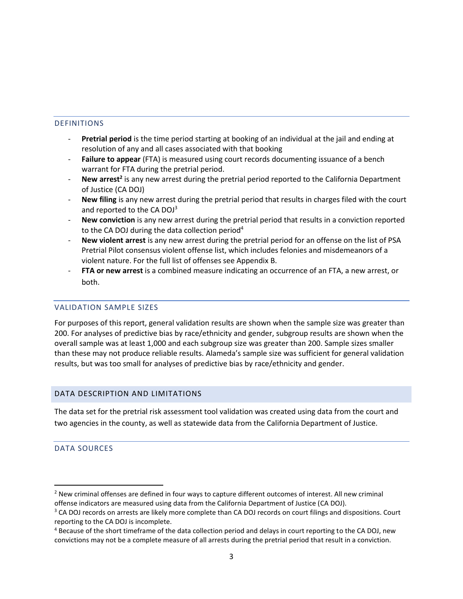#### DEFINITIONS

- **Pretrial period** is the time period starting at booking of an individual at the jail and ending at resolution of any and all cases associated with that booking
- **Failure to appear** (FTA) is measured using court records documenting issuance of a bench warrant for FTA during the pretrial period.
- **New arrest<sup>2</sup>** is any new arrest during the pretrial period reported to the California Department of Justice (CA DOJ)
- **New filing** is any new arrest during the pretrial period that results in charges filed with the court and reported to the CA DOJ<sup>3</sup>
- New conviction is any new arrest during the pretrial period that results in a conviction reported to the CA DOJ during the data collection period<sup>4</sup>
- **New violent arrest** is any new arrest during the pretrial period for an offense on the list of PSA Pretrial Pilot consensus violent offense list, which includes felonies and misdemeanors of a violent nature. For the full list of offenses see Appendix B.
- **FTA or new arrest** is a combined measure indicating an occurrence of an FTA, a new arrest, or both.

#### VALIDATION SAMPLE SIZES

For purposes of this report, general validation results are shown when the sample size was greater than 200. For analyses of predictive bias by race/ethnicity and gender, subgroup results are shown when the overall sample was at least 1,000 and each subgroup size was greater than 200. Sample sizes smaller than these may not produce reliable results. Alameda's sample size was sufficient for general validation results, but was too small for analyses of predictive bias by race/ethnicity and gender.

#### DATA DESCRIPTION AND LIMITATIONS

The data set for the pretrial risk assessment tool validation was created using data from the court and two agencies in the county, as well as statewide data from the California Department of Justice.

#### DATA SOURCES

<sup>&</sup>lt;sup>2</sup> New criminal offenses are defined in four ways to capture different outcomes of interest. All new criminal offense indicators are measured using data from the California Department of Justice (CA DOJ).

<sup>&</sup>lt;sup>3</sup> CA DOJ records on arrests are likely more complete than CA DOJ records on court filings and dispositions. Court reporting to the CA DOJ is incomplete.

<sup>&</sup>lt;sup>4</sup> Because of the short timeframe of the data collection period and delays in court reporting to the CA DOJ, new convictions may not be a complete measure of all arrests during the pretrial period that result in a conviction.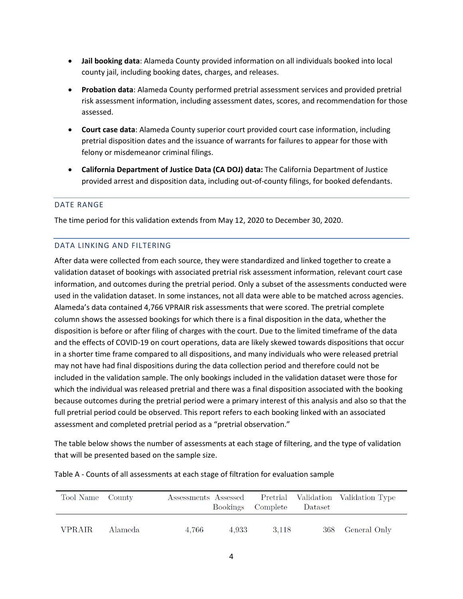- **Jail booking data**: Alameda County provided information on all individuals booked into local county jail, including booking dates, charges, and releases.
- **Probation data**: Alameda County performed pretrial assessment services and provided pretrial risk assessment information, including assessment dates, scores, and recommendation for those assessed.
- **Court case data**: Alameda County superior court provided court case information, including pretrial disposition dates and the issuance of warrants for failures to appear for those with felony or misdemeanor criminal filings.
- **California Department of Justice Data (CA DOJ) data:** The California Department of Justice provided arrest and disposition data, including out-of-county filings, for booked defendants.

#### DATE RANGE

The time period for this validation extends from May 12, 2020 to December 30, 2020.

#### DATA LINKING AND FILTERING

After data were collected from each source, they were standardized and linked together to create a validation dataset of bookings with associated pretrial risk assessment information, relevant court case information, and outcomes during the pretrial period. Only a subset of the assessments conducted were used in the validation dataset. In some instances, not all data were able to be matched across agencies. Alameda's data contained 4,766 VPRAIR risk assessments that were scored. The pretrial complete column shows the assessed bookings for which there is a final disposition in the data, whether the disposition is before or after filing of charges with the court. Due to the limited timeframe of the data and the effects of COVID-19 on court operations, data are likely skewed towards dispositions that occur in a shorter time frame compared to all dispositions, and many individuals who were released pretrial may not have had final dispositions during the data collection period and therefore could not be included in the validation sample. The only bookings included in the validation dataset were those for which the individual was released pretrial and there was a final disposition associated with the booking because outcomes during the pretrial period were a primary interest of this analysis and also so that the full pretrial period could be observed. This report refers to each booking linked with an associated assessment and completed pretrial period as a "pretrial observation."

The table below shows the number of assessments at each stage of filtering, and the type of validation that will be presented based on the sample size.

| Tool Name County |         | Assessments Assessed | Bookings Complete |        | Dataset | Pretrial Validation Validation Type |
|------------------|---------|----------------------|-------------------|--------|---------|-------------------------------------|
| <b>VPRAIR</b>    | Alameda | 4.766                | 4.933             | -3.118 |         | 368 General Only                    |

Table A - Counts of all assessments at each stage of filtration for evaluation sample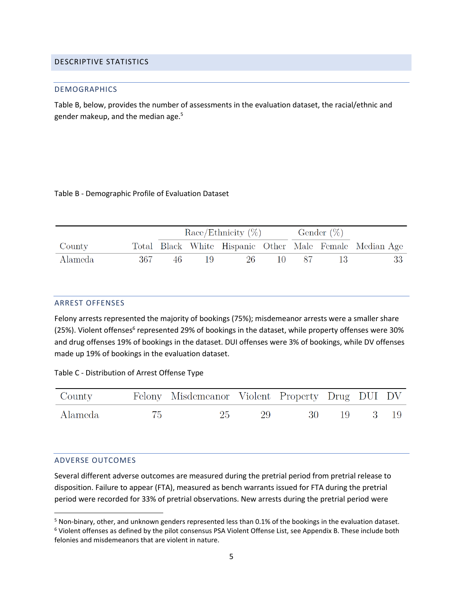#### DESCRIPTIVE STATISTICS

#### DEMOGRAPHICS

Table B, below, provides the number of assessments in the evaluation dataset, the racial/ethnic and gender makeup, and the median age.<sup>5</sup>

#### Table B - Demographic Profile of Evaluation Dataset

|         |     |  | $\text{Race}/\text{Ethnicity}$ (%) |  | Gender $(\%)$ |                                                         |
|---------|-----|--|------------------------------------|--|---------------|---------------------------------------------------------|
| County  |     |  |                                    |  |               | Total Black White Hispanic Other Male Female Median Age |
| Alameda | 367 |  | 26.                                |  |               | 33                                                      |

#### ARREST OFFENSES

Felony arrests represented the majority of bookings (75%); misdemeanor arrests were a smaller share (25%). Violent offenses<sup>6</sup> represented 29% of bookings in the dataset, while property offenses were 30% and drug offenses 19% of bookings in the dataset. DUI offenses were 3% of bookings, while DV offenses made up 19% of bookings in the evaluation dataset.

Table C - Distribution of Arrest Offense Type

| County  |    | Felony Misdemeanor Violent Property Drug DUI DV |    |           |      |  |
|---------|----|-------------------------------------------------|----|-----------|------|--|
| Alameda | 75 | 25                                              | 29 | - 30 - 19 | 3 19 |  |

#### ADVERSE OUTCOMES

Several different adverse outcomes are measured during the pretrial period from pretrial release to disposition. Failure to appear (FTA), measured as bench warrants issued for FTA during the pretrial period were recorded for 33% of pretrial observations. New arrests during the pretrial period were

<sup>5</sup> Non-binary, other, and unknown genders represented less than 0.1% of the bookings in the evaluation dataset. <sup>6</sup> Violent offenses as defined by the pilot consensus PSA Violent Offense List, see Appendix B. These include both felonies and misdemeanors that are violent in nature.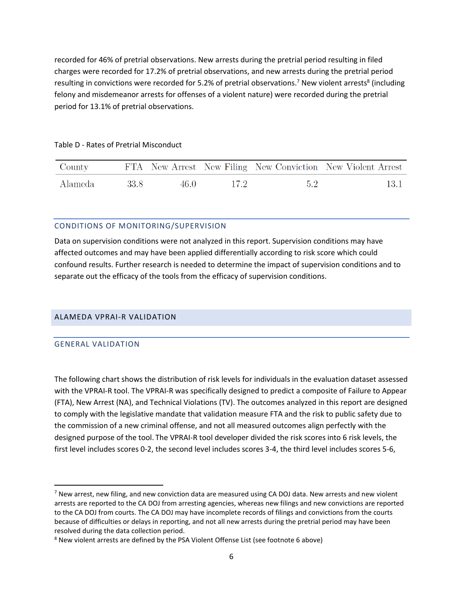recorded for 46% of pretrial observations. New arrests during the pretrial period resulting in filed charges were recorded for 17.2% of pretrial observations, and new arrests during the pretrial period resulting in convictions were recorded for 5.2% of pretrial observations.<sup>7</sup> New violent arrests<sup>8</sup> (including felony and misdemeanor arrests for offenses of a violent nature) were recorded during the pretrial period for 13.1% of pretrial observations.

| County  |       |      |                 |     | FTA New Arrest New Filing New Conviction New Violent Arrest |
|---------|-------|------|-----------------|-----|-------------------------------------------------------------|
| Alameda | -33.8 | 46 O | 17 <sup>2</sup> | 5.2 | 13.1                                                        |

#### Table D - Rates of Pretrial Misconduct

#### CONDITIONS OF MONITORING/SUPERVISION

Data on supervision conditions were not analyzed in this report. Supervision conditions may have affected outcomes and may have been applied differentially according to risk score which could confound results. Further research is needed to determine the impact of supervision conditions and to separate out the efficacy of the tools from the efficacy of supervision conditions.

#### ALAMEDA VPRAI-R VALIDATION

#### GENERAL VALIDATION

The following chart shows the distribution of risk levels for individuals in the evaluation dataset assessed with the VPRAI-R tool. The VPRAI-R was specifically designed to predict a composite of Failure to Appear (FTA), New Arrest (NA), and Technical Violations (TV). The outcomes analyzed in this report are designed to comply with the legislative mandate that validation measure FTA and the risk to public safety due to the commission of a new criminal offense, and not all measured outcomes align perfectly with the designed purpose of the tool. The VPRAI-R tool developer divided the risk scores into 6 risk levels, the first level includes scores 0-2, the second level includes scores 3-4, the third level includes scores 5-6,

<sup>&</sup>lt;sup>7</sup> New arrest, new filing, and new conviction data are measured using CA DOJ data. New arrests and new violent arrests are reported to the CA DOJ from arresting agencies, whereas new filings and new convictions are reported to the CA DOJ from courts. The CA DOJ may have incomplete records of filings and convictions from the courts because of difficulties or delays in reporting, and not all new arrests during the pretrial period may have been resolved during the data collection period.

<sup>&</sup>lt;sup>8</sup> New violent arrests are defined by the PSA Violent Offense List (see footnote 6 above)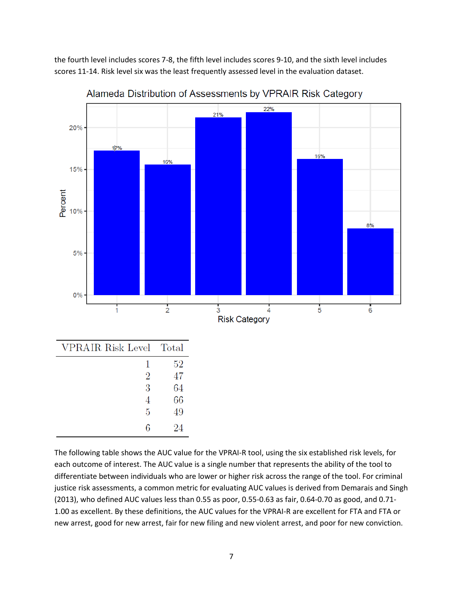the fourth level includes scores 7-8, the fifth level includes scores 9-10, and the sixth level includes scores 11-14. Risk level six was the least frequently assessed level in the evaluation dataset.



Alameda Distribution of Assessments by VPRAIR Risk Category

The following table shows the AUC value for the VPRAI-R tool, using the six established risk levels, for each outcome of interest. The AUC value is a single number that represents the ability of the tool to differentiate between individuals who are lower or higher risk across the range of the tool. For criminal justice risk assessments, a common metric for evaluating AUC values is derived from Demarais and Singh (2013), who defined AUC values less than 0.55 as poor, 0.55-0.63 as fair, 0.64-0.70 as good, and 0.71- 1.00 as excellent. By these definitions, the AUC values for the VPRAI-R are excellent for FTA and FTA or new arrest, good for new arrest, fair for new filing and new violent arrest, and poor for new conviction.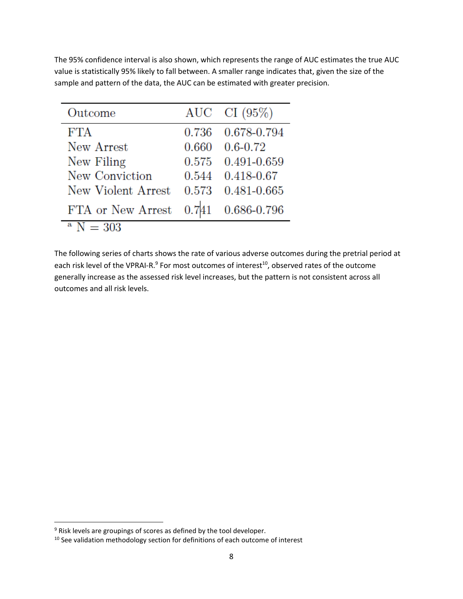The 95% confidence interval is also shown, which represents the range of AUC estimates the true AUC value is statistically 95% likely to fall between. A smaller range indicates that, given the size of the sample and pattern of the data, the AUC can be estimated with greater precision.

| Outcome            |       | AUC CI $(95\%)$        |
|--------------------|-------|------------------------|
| <b>FTA</b>         |       | 0.736 0.678-0.794      |
| New Arrest         | 0.660 | $0.6 - 0.72$           |
| New Filing         |       | 0.575 0.491-0.659      |
| New Conviction     |       | $0.544$ $0.418 - 0.67$ |
| New Violent Arrest | 0.573 | 0.481-0.665            |
| FTA or New Arrest  |       | 0.741 0.686-0.796      |
| $\mathrm{N}=303$   |       |                        |

The following series of charts shows the rate of various adverse outcomes during the pretrial period at each risk level of the VPRAI-R.<sup>9</sup> For most outcomes of interest<sup>10</sup>, observed rates of the outcome generally increase as the assessed risk level increases, but the pattern is not consistent across all outcomes and all risk levels.

<sup>9</sup> Risk levels are groupings of scores as defined by the tool developer.

<sup>&</sup>lt;sup>10</sup> See validation methodology section for definitions of each outcome of interest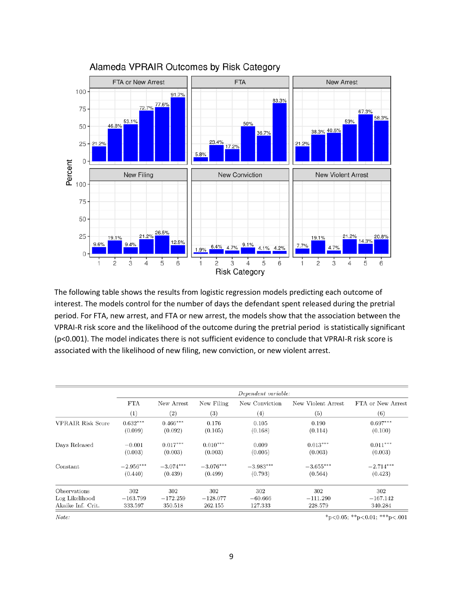![](_page_10_Figure_0.jpeg)

Alameda VPRAIR Outcomes by Risk Category

The following table shows the results from logistic regression models predicting each outcome of interest. The models control for the number of days the defendant spent released during the pretrial period. For FTA, new arrest, and FTA or new arrest, the models show that the association between the VPRAI-R risk score and the likelihood of the outcome during the pretrial period is statistically significant (p<0.001). The model indicates there is not sufficient evidence to conclude that VPRAI-R risk score is associated with the likelihood of new filing, new conviction, or new violent arrest.

|                          |             |                   |             | Dependent variable: |                    |                   |
|--------------------------|-------------|-------------------|-------------|---------------------|--------------------|-------------------|
|                          | <b>FTA</b>  | New Arrest        | New Filing  | New Conviction      | New Violent Arrest | FTA or New Arrest |
|                          | (1)         | $\left( 2\right)$ | (3)         | (4)                 | (5)                | (6)               |
| <b>VPRAIR Risk Score</b> | $0.632***$  | $0.466***$        | 0.176       | 0.105               | 0.190              | $0.697***$        |
|                          | (0.099)     | (0.092)           | (0.105)     | (0.168)             | (0.114)            | (0.100)           |
| Days Released            | $-0.001$    | $0.017***$        | $0.010***$  | 0.009               | $0.013***$         | $0.011***$        |
|                          | (0.003)     | (0.003)           | (0.003)     | (0.005)             | (0.003)            | (0.003)           |
| Constant                 | $-2.956***$ | $-3.074***$       | $-3.076***$ | $-3.983***$         | $-3.655***$        | $-2.714***$       |
|                          | (0.440)     | (0.439)           | (0.499)     | (0.793)             | (0.564)            | (0.423)           |
| Observations             | 302         | 302               | 302         | 302                 | 302                | 302               |
| Log Likelihood           | $-163.799$  | $-172.259$        | $-128.077$  | $-60.666$           | $-111.290$         | $-167.142$        |
| Akaike Inf. Crit.        | 333.597     | 350.518           | 262.155     | 127.333             | 228.579            | 340.284           |

 $Note:$ 

\*p<0.05; \*\*p<0.01; \*\*\*p<.001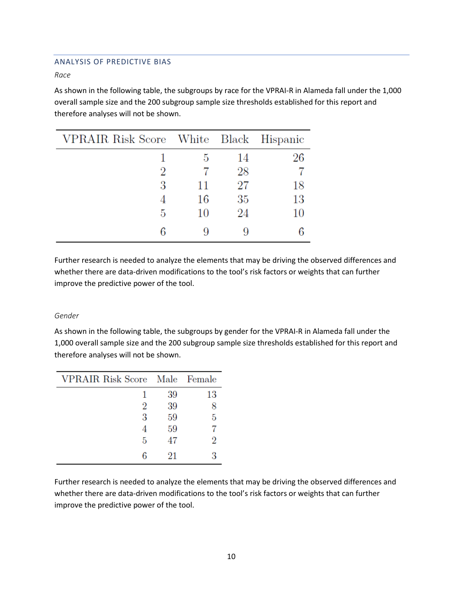#### ANALYSIS OF PREDICTIVE BIAS

*Race*

As shown in the following table, the subgroups by race for the VPRAI-R in Alameda fall under the 1,000 overall sample size and the 200 subgroup sample size thresholds established for this report and therefore analyses will not be shown.

| VPRAIR Risk Score White Black Hispanic |    |    |    |
|----------------------------------------|----|----|----|
|                                        | 5  | 14 | 26 |
|                                        |    | 28 |    |
| 3                                      | 11 | 27 | 18 |
|                                        | 16 | 35 | 13 |
| 5                                      | 10 | 24 | 10 |
|                                        |    |    |    |

Further research is needed to analyze the elements that may be driving the observed differences and whether there are data-driven modifications to the tool's risk factors or weights that can further improve the predictive power of the tool.

#### *Gender*

As shown in the following table, the subgroups by gender for the VPRAI-R in Alameda fall under the 1,000 overall sample size and the 200 subgroup sample size thresholds established for this report and therefore analyses will not be shown.

| VPRAIR Risk Score Male Female |    |    |
|-------------------------------|----|----|
|                               | 39 | 13 |
| 2                             | 39 |    |
| 3                             | 59 | 5  |
|                               | 59 |    |
| 5                             | 47 | 2  |
| б                             | 21 | Я  |

Further research is needed to analyze the elements that may be driving the observed differences and whether there are data-driven modifications to the tool's risk factors or weights that can further improve the predictive power of the tool.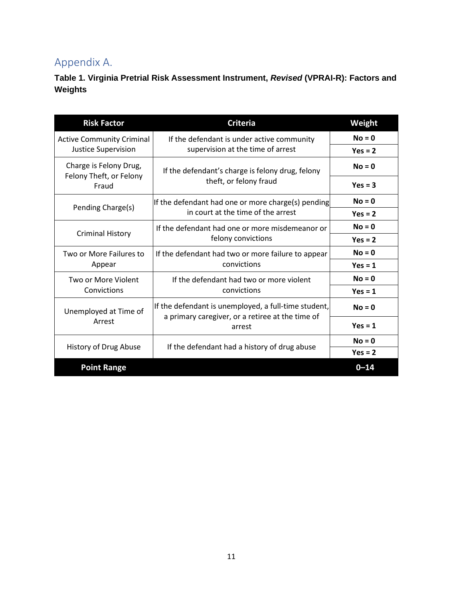## Appendix A.

**Table 1. Virginia Pretrial Risk Assessment Instrument,** *Revised* **(VPRAI-R): Factors and Weights**

| <b>Risk Factor</b>                                | <b>Criteria</b>                                            | Weight    |
|---------------------------------------------------|------------------------------------------------------------|-----------|
| <b>Active Community Criminal</b>                  | If the defendant is under active community                 | $No = 0$  |
| <b>Justice Supervision</b>                        | supervision at the time of arrest                          | $Yes = 2$ |
| Charge is Felony Drug,<br>Felony Theft, or Felony | If the defendant's charge is felony drug, felony           | $No = 0$  |
| Fraud                                             | theft, or felony fraud                                     |           |
| Pending Charge(s)                                 | If the defendant had one or more charge(s) pending         | $No = 0$  |
|                                                   | in court at the time of the arrest                         | $Yes = 2$ |
| If the defendant had one or more misdemeanor or   |                                                            | $No = 0$  |
| <b>Criminal History</b>                           | felony convictions                                         | $Yes = 2$ |
| Two or More Failures to                           | If the defendant had two or more failure to appear         | $No = 0$  |
| Appear                                            | convictions                                                | $Yes = 1$ |
| Two or More Violent                               | If the defendant had two or more violent                   | $No = 0$  |
| Convictions                                       | convictions                                                | $Yes = 1$ |
| Unemployed at Time of                             | If the defendant is unemployed, a full-time student,       |           |
| Arrest                                            | a primary caregiver, or a retiree at the time of<br>arrest | $Yes = 1$ |
| History of Drug Abuse                             | If the defendant had a history of drug abuse               | $No = 0$  |
|                                                   |                                                            | $Yes = 2$ |
| <b>Point Range</b>                                |                                                            | $0 - 14$  |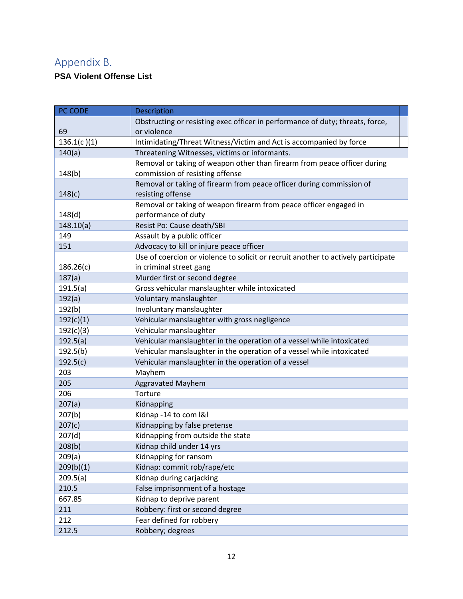# Appendix B.

## **PSA Violent Offense List**

| PC CODE     | <b>Description</b>                                                                |
|-------------|-----------------------------------------------------------------------------------|
|             | Obstructing or resisting exec officer in performance of duty; threats, force,     |
| 69          | or violence                                                                       |
| 136.1(c)(1) | Intimidating/Threat Witness/Victim and Act is accompanied by force                |
| 140(a)      | Threatening Witnesses, victims or informants.                                     |
|             | Removal or taking of weapon other than firearm from peace officer during          |
| 148(b)      | commission of resisting offense                                                   |
|             | Removal or taking of firearm from peace officer during commission of              |
| 148(c)      | resisting offense                                                                 |
|             | Removal or taking of weapon firearm from peace officer engaged in                 |
| 148(d)      | performance of duty                                                               |
| 148.10(a)   | Resist Po: Cause death/SBI                                                        |
| 149         | Assault by a public officer                                                       |
| 151         | Advocacy to kill or injure peace officer                                          |
|             | Use of coercion or violence to solicit or recruit another to actively participate |
| 186.26(c)   | in criminal street gang                                                           |
| 187(a)      | Murder first or second degree                                                     |
| 191.5(a)    | Gross vehicular manslaughter while intoxicated                                    |
| 192(a)      | Voluntary manslaughter                                                            |
| 192(b)      | Involuntary manslaughter                                                          |
| 192(c)(1)   | Vehicular manslaughter with gross negligence                                      |
| 192(c)(3)   | Vehicular manslaughter                                                            |
| 192.5(a)    | Vehicular manslaughter in the operation of a vessel while intoxicated             |
| 192.5(b)    | Vehicular manslaughter in the operation of a vessel while intoxicated             |
| 192.5(c)    | Vehicular manslaughter in the operation of a vessel                               |
| 203         | Mayhem                                                                            |
| 205         | <b>Aggravated Mayhem</b>                                                          |
| 206         | Torture                                                                           |
| 207(a)      | Kidnapping                                                                        |
| 207(b)      | Kidnap -14 to com I&I                                                             |
| 207(c)      | Kidnapping by false pretense                                                      |
| 207(d)      | Kidnapping from outside the state                                                 |
| 208(b)      | Kidnap child under 14 yrs                                                         |
| 209(a)      | Kidnapping for ransom                                                             |
| 209(b)(1)   | Kidnap: commit rob/rape/etc                                                       |
| 209.5(a)    | Kidnap during carjacking                                                          |
| 210.5       | False imprisonment of a hostage                                                   |
| 667.85      | Kidnap to deprive parent                                                          |
| 211         | Robbery: first or second degree                                                   |
| 212         | Fear defined for robbery                                                          |
| 212.5       | Robbery; degrees                                                                  |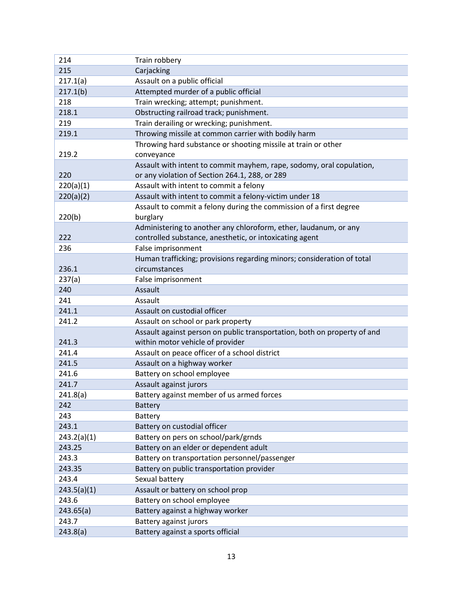| 214         | Train robbery                                                            |
|-------------|--------------------------------------------------------------------------|
| 215         | Carjacking                                                               |
| 217.1(a)    | Assault on a public official                                             |
| 217.1(b)    | Attempted murder of a public official                                    |
| 218         | Train wrecking; attempt; punishment.                                     |
| 218.1       | Obstructing railroad track; punishment.                                  |
| 219         | Train derailing or wrecking; punishment.                                 |
| 219.1       | Throwing missile at common carrier with bodily harm                      |
|             | Throwing hard substance or shooting missile at train or other            |
| 219.2       | conveyance                                                               |
|             | Assault with intent to commit mayhem, rape, sodomy, oral copulation,     |
| 220         | or any violation of Section 264.1, 288, or 289                           |
| 220(a)(1)   | Assault with intent to commit a felony                                   |
| 220(a)(2)   | Assault with intent to commit a felony-victim under 18                   |
|             | Assault to commit a felony during the commission of a first degree       |
| 220(b)      | burglary                                                                 |
|             | Administering to another any chloroform, ether, laudanum, or any         |
| 222         | controlled substance, anesthetic, or intoxicating agent                  |
| 236         | False imprisonment                                                       |
|             | Human trafficking; provisions regarding minors; consideration of total   |
| 236.1       | circumstances                                                            |
| 237(a)      | False imprisonment                                                       |
| 240         | Assault                                                                  |
| 241         | Assault                                                                  |
| 241.1       | Assault on custodial officer                                             |
| 241.2       | Assault on school or park property                                       |
|             | Assault against person on public transportation, both on property of and |
| 241.3       | within motor vehicle of provider                                         |
| 241.4       | Assault on peace officer of a school district                            |
| 241.5       | Assault on a highway worker                                              |
| 241.6       | Battery on school employee                                               |
| 241.7       | Assault against jurors                                                   |
| 241.8(a)    | Battery against member of us armed forces                                |
| 242         | <b>Battery</b>                                                           |
| 243         | Battery                                                                  |
| 243.1       | Battery on custodial officer                                             |
| 243.2(a)(1) | Battery on pers on school/park/grnds                                     |
| 243.25      | Battery on an elder or dependent adult                                   |
| 243.3       | Battery on transportation personnel/passenger                            |
| 243.35      | Battery on public transportation provider                                |
| 243.4       | Sexual battery                                                           |
| 243.5(a)(1) | Assault or battery on school prop                                        |
| 243.6       | Battery on school employee                                               |
| 243.65(a)   | Battery against a highway worker                                         |
| 243.7       | Battery against jurors                                                   |
| 243.8(a)    | Battery against a sports official                                        |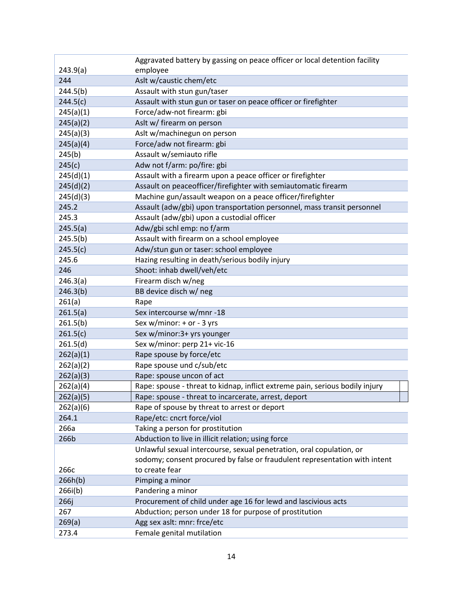| 243.9(a)<br>employee<br>Aslt w/caustic chem/etc<br>244<br>244.5(b)<br>Assault with stun gun/taser<br>Assault with stun gun or taser on peace officer or firefighter<br>244.5(c) |
|---------------------------------------------------------------------------------------------------------------------------------------------------------------------------------|
|                                                                                                                                                                                 |
|                                                                                                                                                                                 |
|                                                                                                                                                                                 |
|                                                                                                                                                                                 |
| Force/adw-not firearm: gbi<br>245(a)(1)                                                                                                                                         |
| 245(a)(2)<br>Aslt w/ firearm on person                                                                                                                                          |
| Aslt w/machinegun on person<br>245(a)(3)                                                                                                                                        |
| 245(a)(4)<br>Force/adw not firearm: gbi                                                                                                                                         |
| Assault w/semiauto rifle<br>245(b)                                                                                                                                              |
| Adw not f/arm: po/fire: gbi<br>245(c)                                                                                                                                           |
| 245(d)(1)<br>Assault with a firearm upon a peace officer or firefighter                                                                                                         |
| Assault on peaceofficer/firefighter with semiautomatic firearm<br>245(d)(2)                                                                                                     |
| Machine gun/assault weapon on a peace officer/firefighter<br>245(d)(3)                                                                                                          |
| Assault (adw/gbi) upon transportation personnel, mass transit personnel<br>245.2                                                                                                |
| 245.3<br>Assault (adw/gbi) upon a custodial officer                                                                                                                             |
| Adw/gbi schl emp: no f/arm<br>245.5(a)                                                                                                                                          |
| 245.5(b)<br>Assault with firearm on a school employee                                                                                                                           |
| 245.5(c)<br>Adw/stun gun or taser: school employee                                                                                                                              |
| Hazing resulting in death/serious bodily injury<br>245.6                                                                                                                        |
| Shoot: inhab dwell/veh/etc<br>246                                                                                                                                               |
| Firearm disch w/neg<br>246.3(a)                                                                                                                                                 |
| 246.3(b)<br>BB device disch w/ neg                                                                                                                                              |
| 261(a)<br>Rape                                                                                                                                                                  |
| Sex intercourse w/mnr -18<br>261.5(a)                                                                                                                                           |
| 261.5(b)<br>Sex w/minor: + or - 3 yrs                                                                                                                                           |
| Sex w/minor:3+ yrs younger<br>261.5(c)                                                                                                                                          |
| Sex w/minor: perp 21+ vic-16<br>261.5(d)                                                                                                                                        |
| 262(a)(1)<br>Rape spouse by force/etc                                                                                                                                           |
| 262(a)(2)<br>Rape spouse und c/sub/etc                                                                                                                                          |
| Rape: spouse uncon of act<br>262(a)(3)                                                                                                                                          |
| Rape: spouse - threat to kidnap, inflict extreme pain, serious bodily injury<br>262(a)(4)                                                                                       |
| 262(a)(5)<br>Rape: spouse - threat to incarcerate, arrest, deport                                                                                                               |
| 262(a)(6)<br>Rape of spouse by threat to arrest or deport                                                                                                                       |
| Rape/etc: cncrt force/viol<br>264.1                                                                                                                                             |
| Taking a person for prostitution<br>266a                                                                                                                                        |
| 266b<br>Abduction to live in illicit relation; using force                                                                                                                      |
| Unlawful sexual intercourse, sexual penetration, oral copulation, or                                                                                                            |
| sodomy; consent procured by false or fraudulent representation with intent                                                                                                      |
| to create fear<br>266с                                                                                                                                                          |
| 266h(b)<br>Pimping a minor                                                                                                                                                      |
| Pandering a minor<br>266i(b)                                                                                                                                                    |
| 266j<br>Procurement of child under age 16 for lewd and lascivious acts                                                                                                          |
| 267<br>Abduction; person under 18 for purpose of prostitution                                                                                                                   |
| Agg sex aslt: mnr: frce/etc<br>269(a)                                                                                                                                           |
| 273.4<br>Female genital mutilation                                                                                                                                              |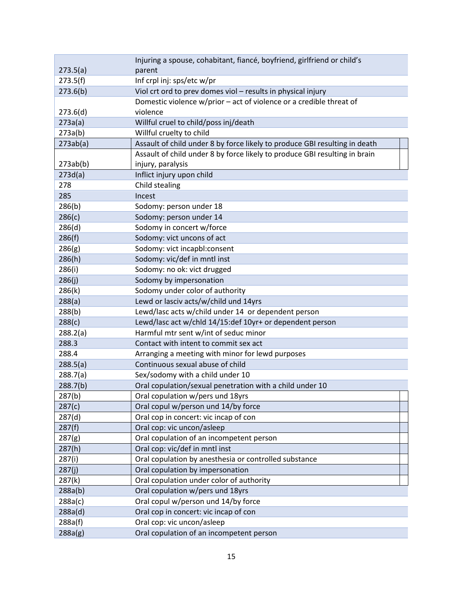|          | Injuring a spouse, cohabitant, fiancé, boyfriend, girlfriend or child's    |
|----------|----------------------------------------------------------------------------|
| 273.5(a) | parent                                                                     |
| 273.5(f) | Inf crpl inj: sps/etc w/pr                                                 |
| 273.6(b) | Viol crt ord to prev domes viol - results in physical injury               |
|          | Domestic violence w/prior - act of violence or a credible threat of        |
| 273.6(d) | violence                                                                   |
| 273a(a)  | Willful cruel to child/poss inj/death                                      |
| 273a(b)  | Willful cruelty to child                                                   |
| 273ab(a) | Assault of child under 8 by force likely to produce GBI resulting in death |
|          | Assault of child under 8 by force likely to produce GBI resulting in brain |
| 273ab(b) | injury, paralysis                                                          |
| 273d(a)  | Inflict injury upon child                                                  |
| 278      | Child stealing                                                             |
| 285      | Incest                                                                     |
| 286(b)   | Sodomy: person under 18                                                    |
| 286(c)   | Sodomy: person under 14                                                    |
| 286(d)   | Sodomy in concert w/force                                                  |
| 286(f)   | Sodomy: vict uncons of act                                                 |
| 286(g)   | Sodomy: vict incapbl:consent                                               |
| 286(h)   | Sodomy: vic/def in mntl inst                                               |
| 286(i)   | Sodomy: no ok: vict drugged                                                |
| 286(j)   | Sodomy by impersonation                                                    |
| 286(k)   | Sodomy under color of authority                                            |
| 288(a)   | Lewd or lasciv acts/w/child und 14yrs                                      |
| 288(b)   | Lewd/lasc acts w/child under 14 or dependent person                        |
| 288(c)   | Lewd/lasc act w/chld 14/15:def 10yr+ or dependent person                   |
| 288.2(a) | Harmful mtr sent w/int of seduc minor                                      |
| 288.3    | Contact with intent to commit sex act                                      |
| 288.4    | Arranging a meeting with minor for lewd purposes                           |
| 288.5(a) | Continuous sexual abuse of child                                           |
| 288.7(a) | Sex/sodomy with a child under 10                                           |
| 288.7(b) | Oral copulation/sexual penetration with a child under 10                   |
| 287(b)   | Oral copulation w/pers und 18yrs                                           |
| 287(c)   | Oral copul w/person und 14/by force                                        |
| 287(d)   | Oral cop in concert: vic incap of con                                      |
| 287(f)   | Oral cop: vic uncon/asleep                                                 |
| 287(g)   | Oral copulation of an incompetent person                                   |
| 287(h)   | Oral cop: vic/def in mntl inst                                             |
| 287(i)   | Oral copulation by anesthesia or controlled substance                      |
| 287(j)   | Oral copulation by impersonation                                           |
| 287(k)   | Oral copulation under color of authority                                   |
| 288a(b)  | Oral copulation w/pers und 18yrs                                           |
| 288a(c)  | Oral copul w/person und 14/by force                                        |
| 288a(d)  | Oral cop in concert: vic incap of con                                      |
| 288a(f)  | Oral cop: vic uncon/asleep                                                 |
| 288a(g)  | Oral copulation of an incompetent person                                   |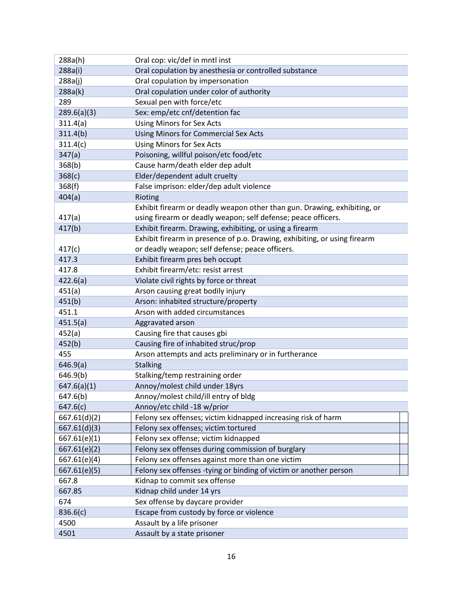| 288a(h)      | Oral cop: vic/def in mntl inst                                            |
|--------------|---------------------------------------------------------------------------|
| 288a(i)      | Oral copulation by anesthesia or controlled substance                     |
| 288a(j)      | Oral copulation by impersonation                                          |
| 288a(k)      | Oral copulation under color of authority                                  |
| 289          | Sexual pen with force/etc                                                 |
| 289.6(a)(3)  | Sex: emp/etc cnf/detention fac                                            |
| 311.4(a)     | <b>Using Minors for Sex Acts</b>                                          |
| 311.4(b)     | Using Minors for Commercial Sex Acts                                      |
| 311.4(c)     | <b>Using Minors for Sex Acts</b>                                          |
| 347(a)       | Poisoning, willful poison/etc food/etc                                    |
| 368(b)       | Cause harm/death elder dep adult                                          |
| 368(c)       | Elder/dependent adult cruelty                                             |
| 368(f)       | False imprison: elder/dep adult violence                                  |
| 404(a)       | Rioting                                                                   |
|              | Exhibit firearm or deadly weapon other than gun. Drawing, exhibiting, or  |
| 417(a)       | using firearm or deadly weapon; self defense; peace officers.             |
| 417(b)       | Exhibit firearm. Drawing, exhibiting, or using a firearm                  |
|              | Exhibit firearm in presence of p.o. Drawing, exhibiting, or using firearm |
| 417(c)       | or deadly weapon; self defense; peace officers.                           |
| 417.3        | Exhibit firearm pres beh occupt                                           |
| 417.8        | Exhibit firearm/etc: resist arrest                                        |
| 422.6(a)     | Violate civil rights by force or threat                                   |
| 451(a)       | Arson causing great bodily injury                                         |
| 451(b)       | Arson: inhabited structure/property                                       |
| 451.1        | Arson with added circumstances                                            |
| 451.5(a)     | Aggravated arson                                                          |
| 452(a)       | Causing fire that causes gbi                                              |
| 452(b)       | Causing fire of inhabited struc/prop                                      |
| 455          | Arson attempts and acts preliminary or in furtherance                     |
| 646.9(a)     | <b>Stalking</b>                                                           |
| 646.9(b)     | Stalking/temp restraining order                                           |
| 647.6(a)(1)  | Annoy/molest child under 18yrs                                            |
| 647.6(b)     | Annoy/molest child/ill entry of bldg                                      |
| 647.6(c)     | Annoy/etc child -18 w/prior                                               |
| 667.61(d)(2) | Felony sex offenses; victim kidnapped increasing risk of harm             |
| 667.61(d)(3) | Felony sex offenses; victim tortured                                      |
| 667.61(e)(1) | Felony sex offense; victim kidnapped                                      |
| 667.61(e)(2) | Felony sex offenses during commission of burglary                         |
| 667.61(e)(4) | Felony sex offenses against more than one victim                          |
| 667.61(e)(5) | Felony sex offenses -tying or binding of victim or another person         |
| 667.8        | Kidnap to commit sex offense                                              |
| 667.85       | Kidnap child under 14 yrs                                                 |
| 674          | Sex offense by daycare provider                                           |
| 836.6(c)     | Escape from custody by force or violence                                  |
| 4500         | Assault by a life prisoner                                                |
| 4501         | Assault by a state prisoner                                               |